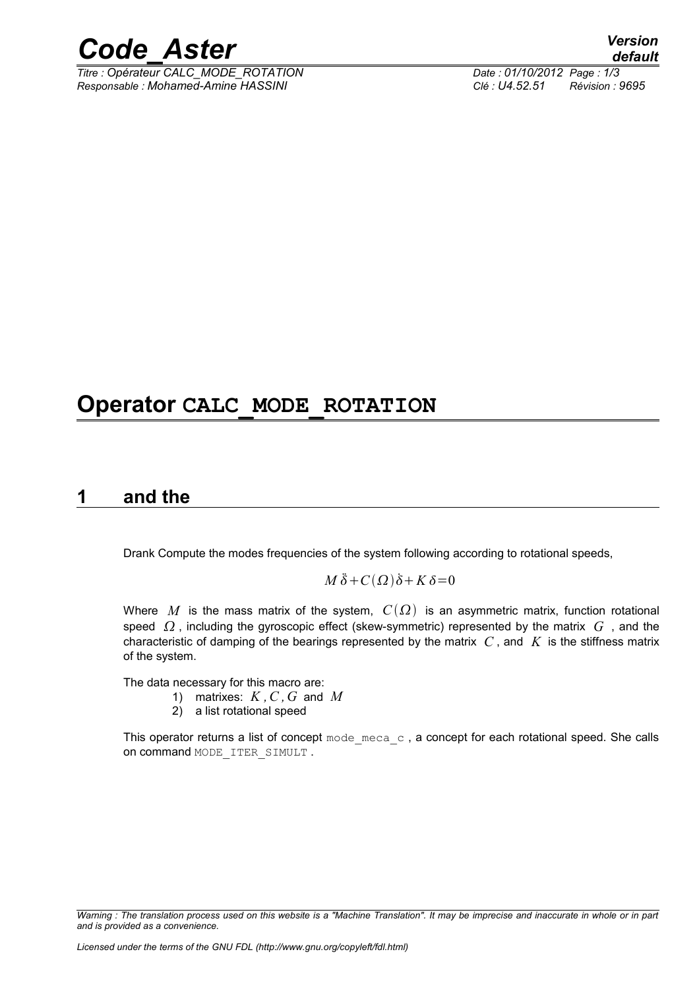

*Titre : Opérateur CALC\_MODE\_ROTATION Date : 01/10/2012 Page : 1/3 Responsable : Mohamed-Amine HASSINI Clé : U4.52.51 Révision : 9695*

**Operator CALC\_MODE\_ROTATION** 

#### **1 and the**

Drank Compute the modes frequencies of the system following according to rotational speeds,

#### $M\ddot{\delta} + C(\Omega)\dot{\delta} + K\delta = 0$

Where M is the mass matrix of the system,  $C(\Omega)$  is an asymmetric matrix, function rotational speed  $\Omega$ , including the gyroscopic effect (skew-symmetric) represented by the matrix G, and the characteristic of damping of the bearings represented by the matrix *C* , and *K* is the stiffness matrix of the system.

The data necessary for this macro are:

- 1) matrixes: *K ,C ,G* and *M*
- 2) a list rotational speed

This operator returns a list of concept  $\text{mode}\text{~meca}\text{~c}$ , a concept for each rotational speed. She calls on command MODE\_ITER\_SIMULT .

*Warning : The translation process used on this website is a "Machine Translation". It may be imprecise and inaccurate in whole or in part and is provided as a convenience.*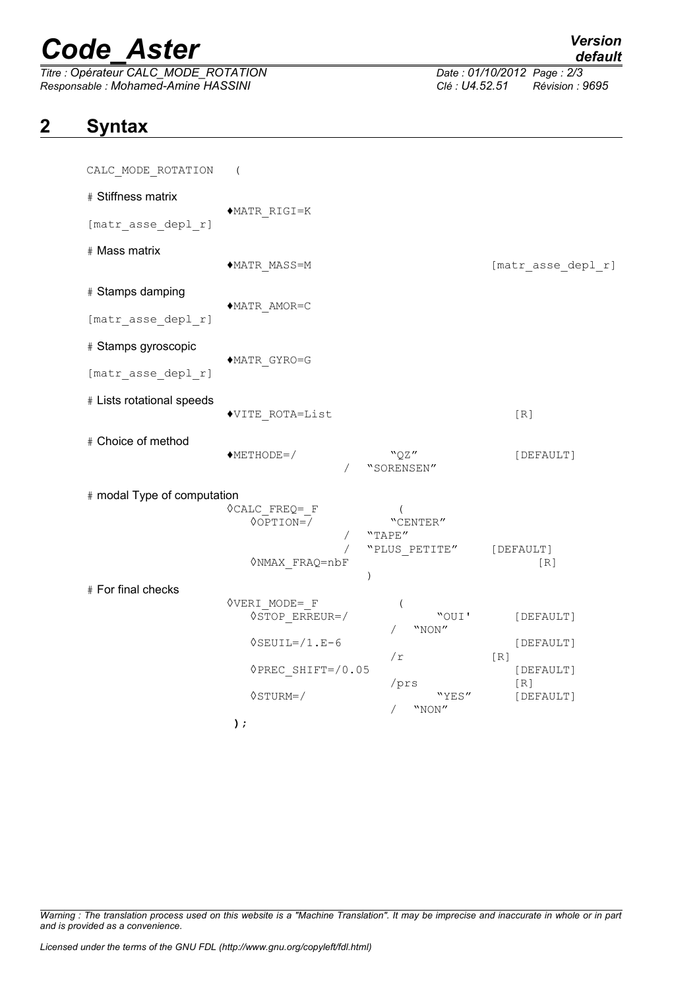# *Code\_Aster Version*

*Titre : Opérateur CALC\_MODE\_ROTATION Date : 01/10/2012 Page : 2/3 Responsable : Mohamed-Amine HASSINI Clé : U4.52.51 Révision : 9695*

## **2 Syntax**

| CALC_MODE_ROTATION          | $\left($                                                            |                                                                    |                    |
|-----------------------------|---------------------------------------------------------------------|--------------------------------------------------------------------|--------------------|
| # Stiffness matrix          |                                                                     |                                                                    |                    |
| [matr_asse_depl_r]          | $*$ MATR RIGI=K                                                     |                                                                    |                    |
| # Mass matrix               | ◆MATR MASS=M                                                        |                                                                    | [matr asse depl r] |
| # Stamps damping            | ◆MATR AMOR=C                                                        |                                                                    |                    |
| [matr_asse_depl_r]          |                                                                     |                                                                    |                    |
| # Stamps gyroscopic         | $\blacklozenge \mathtt{MATR\_GYRO=} \mathtt{G}$                     |                                                                    |                    |
| [matr_asse_depl_r]          |                                                                     |                                                                    |                    |
| # Lists rotational speeds   | ◆VITE ROTA=List                                                     |                                                                    | [R]                |
| # Choice of method          | $METHODE = /$                                                       | "QZ"<br>"SORENSEN"                                                 | [DEFAULT]          |
| # modal Type of computation |                                                                     |                                                                    |                    |
|                             | $\Diamond$ CALC FREQ= F<br>$\sqrt{OPTION}$<br><b>ONMAX FRAQ=nbF</b> | $\overline{ }$<br>"CENTER"<br>"TAPE"<br>"PLUS PETITE"<br>$\lambda$ | [DEFAULT]<br>[R]   |
| # For final checks          | <b>OVERI MODE= F</b>                                                |                                                                    |                    |
|                             | $\Diamond$ STOP ERREUR=/                                            | (<br>"OUI'<br>"NON"                                                | [DEFAULT]          |
|                             | $\Diamond$ SEUIL= $/1$ .E-6                                         | /r                                                                 | [DEFAULT]<br>[R]   |
|                             | ◇PREC SHIFT=/0.05                                                   | /prs                                                               | [DEFAULT]<br>[R]   |
|                             | $\Diamond$ STURM=/                                                  | "YES"<br>"NON"                                                     | [DEFAULT]          |
|                             | $)$ ;                                                               |                                                                    |                    |

*Warning : The translation process used on this website is a "Machine Translation". It may be imprecise and inaccurate in whole or in part and is provided as a convenience.*